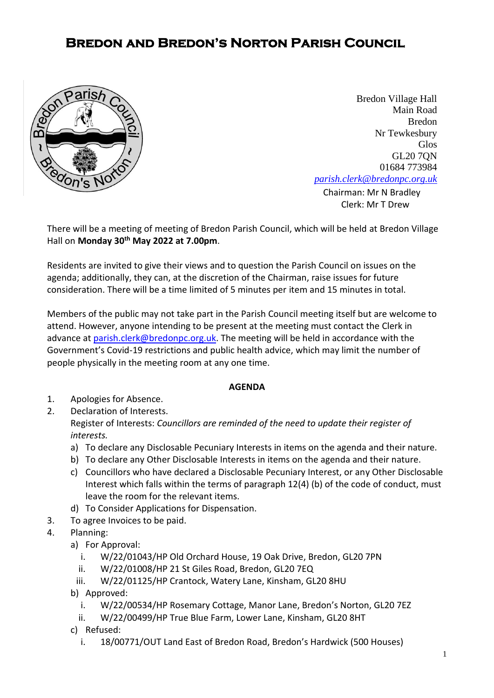## **Bredon and Bredon's Norton Parish Council**



**[Chairman:](mailto:parish.clerk@bredonpc.org.uk.com) Mr N Bradley** Bredon Village Hall Main Road Bredon Nr Tewkesbury Glos GL20 7QN 01684 773984 *[parish.clerk@bredonpc.org.uk](mailto:parish.clerk@bredonpc.org.uk.com)*

Clerk: Mr T Drew

There will be a meeting of meeting of Bredon Parish Council, which will be held at Bredon Village Hall on **Monday 30th May 2022 at 7.00pm**.

Residents are invited to give their views and to question the Parish Council on issues on the agenda; additionally, they can, at the discretion of the Chairman, raise issues for future consideration. There will be a time limited of 5 minutes per item and 15 minutes in total.

Members of the public may not take part in the Parish Council meeting itself but are welcome to attend. However, anyone intending to be present at the meeting must contact the Clerk in advance at [parish.clerk@bredonpc.org.uk.](mailto:parish.clerk@bredonpc.org.uk) The meeting will be held in accordance with the Government's Covid-19 restrictions and public health advice, which may limit the number of people physically in the meeting room at any one time.

## **AGENDA**

- 1. Apologies for Absence.
- 2. Declaration of Interests. Register of Interests: *Councillors are reminded of the need to update their register of interests.* 
	- a) To declare any Disclosable Pecuniary Interests in items on the agenda and their nature.
	- b) To declare any Other Disclosable Interests in items on the agenda and their nature.
	- c) Councillors who have declared a Disclosable Pecuniary Interest, or any Other Disclosable Interest which falls within the terms of paragraph 12(4) (b) of the code of conduct, must leave the room for the relevant items.
	- d) To Consider Applications for Dispensation.
- 3. To agree Invoices to be paid.
- 4. Planning:
	- a) For Approval:
		- i. W/22/01043/HP Old Orchard House, 19 Oak Drive, Bredon, GL20 7PN
		- ii. W/22/01008/HP 21 St Giles Road, Bredon, GL20 7EQ
		- iii. W/22/01125/HP Crantock, Watery Lane, Kinsham, GL20 8HU
	- b) Approved:
		- i. W/22/00534/HP Rosemary Cottage, Manor Lane, Bredon's Norton, GL20 7EZ
		- ii. W/22/00499/HP True Blue Farm, Lower Lane, Kinsham, GL20 8HT
	- c) Refused:
		- i. 18/00771/OUT Land East of Bredon Road, Bredon's Hardwick (500 Houses)